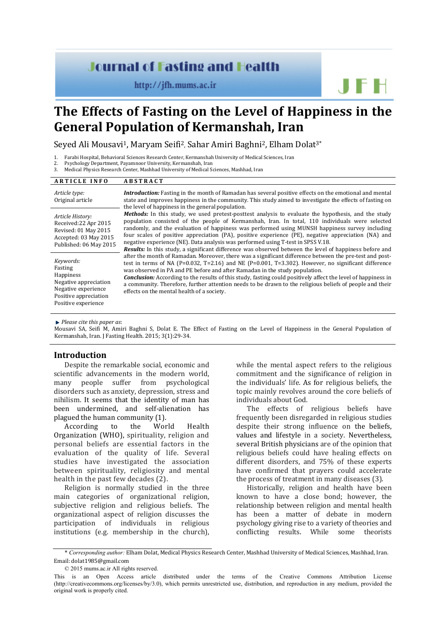# **Journal of Fasting and Health**

http://jfh.mums.ac.ir

# **The Effects of Fasting on the Level of Happiness in the General Population of Kermanshah, Iran**

Seyed Ali Mousavi<sup>1</sup>, Maryam Seifi<sup>2</sup>, Sahar Amiri Baghni<sup>2</sup>, Elham Dolat<sup>3\*</sup>

- 1. Farabi Hospital, Behavioral Sciences Research Center, Kermanshah University of Medical Sciences, Iran
- 2. Psychology Department, Payamnoor University, Kermanshah, Iran
- 3. Medical Physics Research Center, Mashhad University of Medical Sciences, Mashhad, Iran

| <b>ARTICLE INFO</b>                                                                                                               | <b>ABSTRACT</b>                                                                                                                                                                                                                                                                                                                                                                                                                                                                                                                                                                                                       |
|-----------------------------------------------------------------------------------------------------------------------------------|-----------------------------------------------------------------------------------------------------------------------------------------------------------------------------------------------------------------------------------------------------------------------------------------------------------------------------------------------------------------------------------------------------------------------------------------------------------------------------------------------------------------------------------------------------------------------------------------------------------------------|
| Article type:<br>Original article                                                                                                 | <b>Introduction:</b> Fasting in the month of Ramadan has several positive effects on the emotional and mental<br>state and improves happiness in the community. This study aimed to investigate the effects of fasting on<br>the level of happiness in the general population.                                                                                                                                                                                                                                                                                                                                        |
| Article History:<br>Received:22 Apr 2015<br>Revised: 01 May 2015<br>Accepted: 03 May 2015<br>Published: 06 May 2015               | <b>Methods:</b> In this study, we used pretest-posttest analysis to evaluate the hypothesis, and the study<br>population consisted of the people of Kermanshah, Iran. In total, 110 individuals were selected<br>randomly, and the evaluation of happiness was performed using MUNSH happiness survey including<br>four scales of positive appreciation (PA), positive experience (PE), negative appreciation (NA) and<br>negative experience (NE). Data analysis was performed using T-test in SPSS V.18.<br>Results: In this study, a significant difference was observed between the level of happiness before and |
| Keywords:<br>Fasting<br>Happiness<br>Negative appreciation<br>Negative experience<br>Positive appreciation<br>Positive experience | after the month of Ramadan. Moreover, there was a significant difference between the pre-test and post-<br>test in terms of NA (P=0.032, T=2.16) and NE (P=0.001, T=3.302). However, no significant difference<br>was observed in PA and PE before and after Ramadan in the study population.<br><b>Conclusion:</b> According to the results of this study, fasting could positively affect the level of happiness in<br>a community. Therefore, further attention needs to be drawn to the religious beliefs of people and their<br>effects on the mental health of a society.                                       |

#### *Please cite this paper as*:

Mousavi SA, Seifi M, Amiri Baghni S, Dolat E. The Effect of Fasting on the Level of Happiness in the General Population of Kermanshah, Iran. J Fasting Health. 2015; 3(1):29-34.

# **Introduction**

Despite the remarkable social, economic and scientific advancements in the modern world, many people suffer from psychological disorders such as anxiety, depression, stress and nihilism. It seems that the identity of man has been undermined, and self-alienation has plagued the human community (1).<br>According to the World

According to the World Health Organization (WHO), spirituality, religion and personal beliefs are essential factors in the evaluation of the quality of life. Several studies have investigated the association between spirituality, religiosity and mental health in the past few decades (2).

Religion is normally studied in the three main categories of organizational religion, subjective religion and religious beliefs. The organizational aspect of religion discusses the participation of individuals in religious institutions (e.g. membership in the church), while the mental aspect refers to the religious commitment and the significance of religion in the individuals' life. As for religious beliefs, the topic mainly revolves around the core beliefs of individuals about God.

JFH

effects of religious beliefs have frequently been disregarded in religious studies despite their strong influence on the beliefs, values and lifestyle in a society. Nevertheless, several British physicians are of the opinion that religious beliefs could have healing effects on different disorders, and 75% of these experts have confirmed that prayers could accelerate the process of treatment in many diseases (3).

Historically, religion and health have been known to have a close bond; however, the relationship between religion and mental health has been a matter of debate in modern psychology giving rise to a variety of theories and<br>conflicting results. While some theorists conflicting results. While some

© 2015 mums.ac.ir All rights reserved.

<sup>\*</sup> *Corresponding author:* Elham Dolat, Medical Physics Research Center, Mashhad University of Medical Sciences, Mashhad, Iran. Email: dolat1985@gmail.com

This is an Open Access article distributed under the terms of the Creative Commons Attribution License (http://creativecommons.org/licenses/by/3.0), which permits unrestricted use, distribution, and reproduction in any medium, provided the original work is properly cited.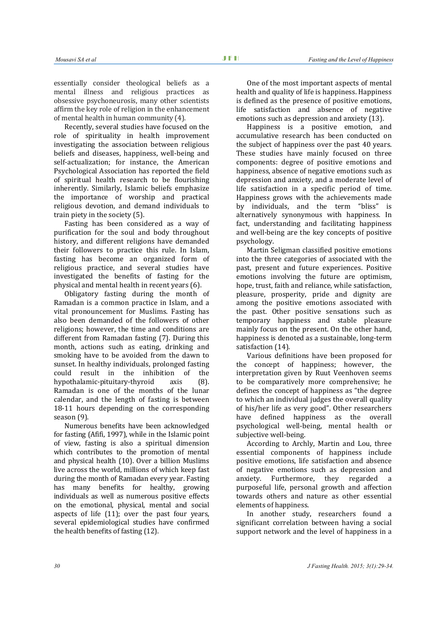essentially consider theological beliefs as a mental illness and religious practices as obsessive psychoneurosis, many other scientists affirm the key role of religion in the enhancement of mental health in human community (4).

Recently, several studies have focused on the role of spirituality in health improvement investigating the association between religious beliefs and diseases, happiness, well-being and self-actualization; for instance, the American Psychological Association has reported the field of spiritual health research to be flourishing inherently. Similarly, Islamic beliefs emphasize the importance of worship and practical religious devotion, and demand individuals to train piety in the society (5).

Fasting has been considered as a way of purification for the soul and body throughout history, and different religions have demanded their followers to practice this rule. In Islam, fasting has become an organized form of religious practice, and several studies have investigated the benefits of fasting for the physical and mental health in recent years (6).

Obligatory fasting during the month of Ramadan is a common practice in Islam, and a vital pronouncement for Muslims. Fasting has also been demanded of the followers of other religions; however, the time and conditions are different from Ramadan fasting (7). During this month, actions such as eating, drinking and smoking have to be avoided from the dawn to sunset. In healthy individuals, prolonged fasting<br>could result in the inhibition of the could result in the inhibition of the<br>hypothalamic-nituitary-thyroid axis (8) hypothalamic-pituitary-thyroid Ramadan is one of the months of the lunar calendar, and the length of fasting is between 18-11 hours depending on the corresponding season (9).

Numerous benefits have been acknowledged for fasting (Afifi, 1997), while in the Islamic point of view, fasting is also a spiritual dimension which contributes to the promotion of mental and physical health (10). Over a billion Muslims live across the world, millions of which keep fast during the month of Ramadan every year. Fasting has many benefits for healthy, growing individuals as well as numerous positive effects on the emotional, physical, mental and social aspects of life (11); over the past four years, several epidemiological studies have confirmed the health benefits of fasting (12).

One of the most important aspects of mental health and quality of life is happiness. Happiness is defined as the presence of positive emotions, life satisfaction and absence of negative emotions such as depression and anxiety (13).

Happiness is a positive emotion, and accumulative research has been conducted on the subject of happiness over the past 40 years. These studies have mainly focused on three components: degree of positive emotions and happiness, absence of negative emotions such as depression and anxiety, and a moderate level of life satisfaction in a specific period of time. Happiness grows with the achievements made by individuals, and the term "bliss" is alternatively synonymous with happiness. In fact, understanding and facilitating happiness and well-being are the key concepts of positive psychology.

Martin Seligman classified positive emotions into the three categories of associated with the past, present and future experiences. Positive emotions involving the future are optimism, hope, trust, faith and reliance, while satisfaction, pleasure, prosperity, pride and dignity are among the positive emotions associated with the past. Other positive sensations such as temporary happiness and stable pleasure mainly focus on the present. On the other hand, happiness is denoted as a sustainable, long-term satisfaction (14).

Various definitions have been proposed for the concept of happiness; however, the interpretation given by Ruut Veenhoven seems to be comparatively more comprehensive; he defines the concept of happiness as "the degree to which an individual judges the overall quality of his/her life as very good". Other researchers have defined happiness as the overall psychological well-being, mental health or subjective well-being.

According to Archly, Martin and Lou, three essential components of happiness include positive emotions, life satisfaction and absence of negative emotions such as depression and<br>anxiety Furthermore they regarded a anxiety. Furthermore, they regarded purposeful life, personal growth and affection towards others and nature as other essential elements of happiness.

In another study, researchers found a significant correlation between having a social support network and the level of happiness in a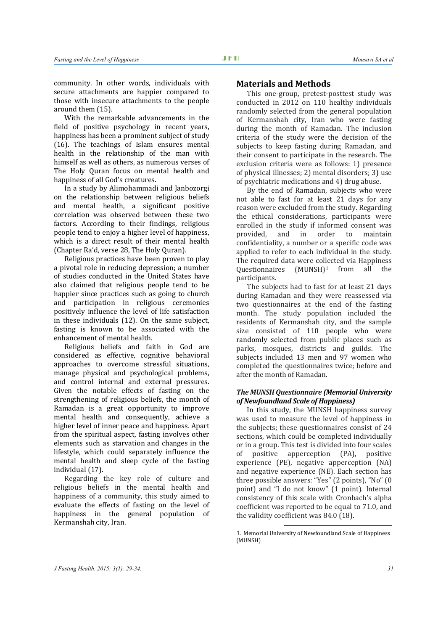community. In other words, individuals with secure attachments are happier compared to those with insecure attachments to the people around them (15).

With the remarkable advancements in the field of positive psychology in recent years, happiness has been a prominent subject of study (16). The teachings of Islam ensures mental health in the relationship of the man with himself as well as others, as numerous verses of The Holy Quran focus on mental health and happiness of all God's creatures.

In a study by Alimohammadi and Janbozorgi on the relationship between religious beliefs and mental health, a significant positive correlation was observed between these two factors. According to their findings, religious people tend to enjoy a higher level of happiness, which is a direct result of their mental health (Chapter Ra'd, verse 28, The Holy Quran).

Religious practices have been proven to play a pivotal role in reducing depression; a number of studies conducted in the United States have also claimed that religious people tend to be happier since practices such as going to church and participation in religious ceremonies positively influence the level of life satisfaction in these individuals (12). On the same subject, fasting is known to be associated with the enhancement of mental health.

Religious beliefs and faith in God are considered as effective, cognitive behavioral approaches to overcome stressful situations, manage physical and psychological problems, and control internal and external pressures. Given the notable effects of fasting on the strengthening of religious beliefs, the month of Ramadan is a great opportunity to improve mental health and consequently, achieve a higher level of inner peace and happiness. Apart from the spiritual aspect, fasting involves other elements such as starvation and changes in the lifestyle, which could separately influence the mental health and sleep cycle of the fasting individual (17).

<span id="page-2-0"></span>Regarding the key role of culture and religious beliefs in the mental health and happiness of a community, this study aimed to evaluate the effects of fasting on the level of happiness in the general population of Kermanshah city, Iran.

#### **Materials and Methods**

This one-group, pretest-posttest study was conducted in 2012 on 110 healthy individuals randomly selected from the general population of Kermanshah city, Iran who were fasting during the month of Ramadan. The inclusion criteria of the study were the decision of the subjects to keep fasting during Ramadan, and their consent to participate in the research. The exclusion criteria were as follows: 1) presence of physical illnesses; 2) mental disorders; 3) use of psychiatric medications and 4) drug abuse.

By the end of Ramadan, subjects who were not able to fast for at least 21 days for any reason were excluded from the study. Regarding the ethical considerations, participants were enrolled in the study if informed consent was<br>provided, and in order to maintain and in order to confidentiality, a number or a specific code was applied to refer to each individual in the study. The required data were collected via Happiness<br>Ouestionnaires  $(MUNSH)^1$  from all the from all the participants.

The subjects had to fast for at least 21 days during Ramadan and they were reassessed via two questionnaires at the end of the fasting month. The study population included the residents of Kermanshah city, and the sample size consisted of 110 people who were randomly selected from public places such as parks, mosques, districts and guilds. The subjects included 13 men and 97 women who completed the questionnaires twice; before and after the month of Ramadan.

#### *The MUNSH Questionnaire (Memorial University of Newfoundland Scale of Happiness)*

In this study, the MUNSH happiness survey was used to measure the level of happiness in the subjects; these questionnaires consist of 24 sections, which could be completed individually or in a group. This test is divided into four scales of positive apperception (PA), positive experience (PE), negative apperception (NA) and negative experience (NE). Each section has three possible answers: "Yes" (2 points), "No" (0 point) and "I do not know" (1 point). Internal consistency of this scale with Cronbach's alpha coefficient was reported to be equal to 71.0, and the validity coefficient was 84.0 (18).

 $\overline{a}$ 

<sup>1</sup>. Memorial University of Newfoundland Scale of Happiness (MUNSH)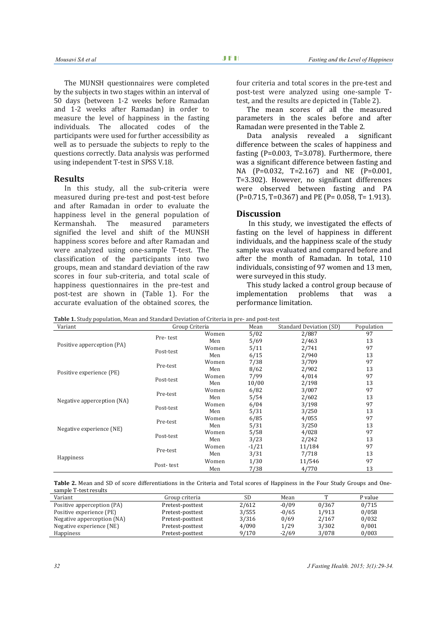The MUNSH questionnaires were completed by the subjects in two stages within an interval of 50 days (between 1-2 weeks before Ramadan and 1-2 weeks after Ramadan) in order to measure the level of happiness in the fasting individuals. The allocated codes of the participants were used for further accessibility as well as to persuade the subjects to reply to the questions correctly. Data analysis was performed using independent T-test in SPSS V.18.

# **Results**

In this study, all the sub-criteria were measured during pre-test and post-test before and after Ramadan in order to evaluate the happiness level in the general population of<br>Kermanshah. The measured parameters The measured signified the level and shift of the MUNSH happiness scores before and after Ramadan and were analyzed using one-sample T-test. The classification of the participants into two groups, mean and standard deviation of the raw scores in four sub-criteria, and total scale of happiness questionnaires in the pre-test and post-test are shown in (Table 1). For the accurate evaluation of the obtained scores, the

four criteria and total scores in the pre-test and post-test were analyzed using one-sample Ttest, and the results are depicted in (Table 2).

The mean scores of all the measured parameters in the scales before and after Ramadan were presented in the Table 2.

Data analysis revealed a significant difference between the scales of happiness and fasting (P=0.003, T=3.078). Furthermore, there was a significant difference between fasting and NA (P=0.032, T=2.167) and NE (P=0.001, T=3.302). However, no significant differences were observed between fasting and PA (P=0.715, T=0.367) and PE (P= 0.058, T= 1.913).

### **Discussion**

In this study, we investigated the effects of fasting on the level of happiness in different individuals, and the happiness scale of the study sample was evaluated and compared before and after the month of Ramadan. In total, 110 individuals, consisting of 97 women and 13 men, were surveyed in this study.

This study lacked a control group because of implementation problems that was a performance limitation.

**Table 1.** Study population, Mean and Standard Deviation of Criteria in pre- and post-test

| Variant                    | Table 1. Study population, Mean and Standard Deviation of Criteria in pre- and post-test<br>Group Criteria |       | Mean    | Standard Deviation (SD) | Population |
|----------------------------|------------------------------------------------------------------------------------------------------------|-------|---------|-------------------------|------------|
|                            | Pre-test                                                                                                   | Women | 5/02    | 2/887                   | 97         |
| Positive apperception (PA) |                                                                                                            | Men   | 5/69    | 2/463                   | 13         |
|                            | Post-test                                                                                                  | Women | 5/11    | 2/741                   | 97         |
|                            |                                                                                                            | Men   | 6/15    | 2/940                   | 13         |
| Positive experience (PE)   | Pre-test                                                                                                   | Women | 7/38    | 3/709                   | 97         |
|                            |                                                                                                            | Men   | 8/62    | 2/902                   | 13         |
|                            | Post-test                                                                                                  | Women | 7/99    | 4/014                   | 97         |
|                            |                                                                                                            | Men   | 10/00   | 2/198                   | 13         |
|                            | Pre-test                                                                                                   | Women | 6/82    | 3/007                   | 97         |
| Negative apperception (NA) |                                                                                                            | Men   | 5/54    | 2/602                   | 13         |
|                            | Post-test                                                                                                  | Women | 6/04    | 3/198                   | 97         |
|                            |                                                                                                            | Men   | 5/31    | 3/250                   | 13         |
|                            | Pre-test                                                                                                   | Women | 6/85    | 4/055                   | 97         |
| Negative experience (NE)   |                                                                                                            | Men   | 5/31    | 3/250                   | 13         |
|                            | Post-test                                                                                                  | Women | 5/58    | 4/028                   | 97         |
|                            |                                                                                                            | Men   | 3/23    | 2/242                   | 13         |
|                            | Pre-test                                                                                                   | Women | $-1/21$ | 11/184                  | 97         |
|                            |                                                                                                            | Men   | 3/31    | 7/718                   | 13         |
| Happiness                  | Post-test                                                                                                  | Women | 1/30    | 11/546                  | 97         |
|                            |                                                                                                            | Men   | 7/38    | 4/770                   | 13         |

**Table 2.** Mean and SD of score differentiations in the Criteria and Total scores of Happiness in the Four Study Groups and Onesample T-test results

| Variant                    | Group criteria   | <b>SD</b> | Mean    | $\mathbf{r}$ | P value |
|----------------------------|------------------|-----------|---------|--------------|---------|
| Positive apperception (PA) | Pretest-posttest | 2/612     | $-0/09$ | 0/367        | 0/715   |
| Positive experience (PE)   | Pretest-posttest | 3/555     | $-0/65$ | 1/913        | 0/058   |
| Negative apperception (NA) | Pretest-posttest | 3/316     | 0/69    | 2/167        | 0/032   |
| Negative experience (NE)   | Pretest-posttest | 4/090     | 1/29    | 3/302        | 0/001   |
| <b>Happiness</b>           | Pretest-posttest | 9/170     | $-2/69$ | 3/078        | 0/003   |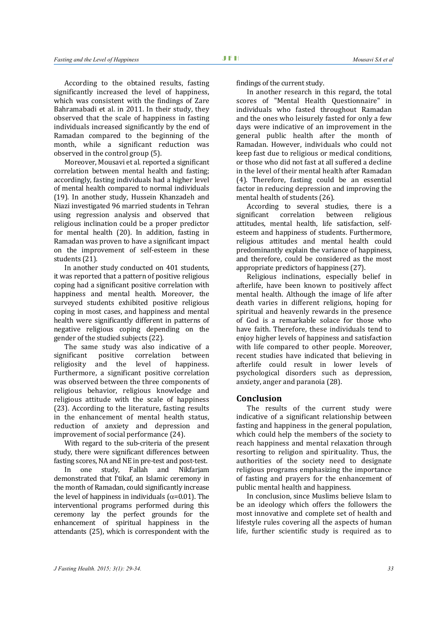According to the obtained results, fasting significantly increased the level of happiness, which was consistent with the findings of Zare Bahramabadi et al. in 2011. In their study, they observed that the scale of happiness in fasting individuals increased significantly by the end of Ramadan compared to the beginning of the month, while a significant reduction was observed in the control group (5).

Moreover, Mousavi et al. reported a significant correlation between mental health and fasting; accordingly, fasting individuals had a higher level of mental health compared to normal individuals (19). In another study, Hussein Khanzadeh and Niazi investigated 96 married students in Tehran using regression analysis and observed that religious inclination could be a proper predictor for mental health (20). In addition, fasting in Ramadan was proven to have a significant impact on the improvement of self-esteem in these students (21).

In another study conducted on 401 students, it was reported that a pattern of positive religious coping had a significant positive correlation with happiness and mental health. Moreover, the surveyed students exhibited positive religious coping in most cases, and happiness and mental health were significantly different in patterns of negative religious coping depending on the gender of the studied subjects (22).

The same study was also indicative of a<br>significant positive correlation between significant positive correlation between religiosity and the level of happiness. Furthermore, a significant positive correlation was observed between the three components of religious behavior, religious knowledge and religious attitude with the scale of happiness (23). According to the literature, fasting results in the enhancement of mental health status, reduction of anxiety and depression and improvement of social performance (24).

With regard to the sub-criteria of the present study, there were significant differences between fasting scores, NA and NE in pre-test and post-test.

In one study, Fallah and Nikfarjam demonstrated that I'tikaf, an Islamic ceremony in the month of Ramadan, could significantly increase the level of happiness in individuals ( $α=0.01$ ). The interventional programs performed during this ceremony lay the perfect grounds for the enhancement of spiritual happiness in the attendants (25), which is correspondent with the

findings of the current study.

In another research in this regard, the total scores of "Mental Health Questionnaire" in individuals who fasted throughout Ramadan and the ones who leisurely fasted for only a few days were indicative of an improvement in the general public health after the month of Ramadan. However, individuals who could not keep fast due to religious or medical conditions, or those who did not fast at all suffered a decline in the level of their mental health after Ramadan (4). Therefore, fasting could be an essential factor in reducing depression and improving the mental health of students (26).

According to several studies, there is a<br>significant correlation between religious significant correlation between religious attitudes, mental health, life satisfaction, selfesteem and happiness of students. Furthermore, religious attitudes and mental health could predominantly explain the variance of happiness, and therefore, could be considered as the most appropriate predictors of happiness (27).

Religious inclinations, especially belief in afterlife, have been known to positively affect mental health. Although the image of life after death varies in different religions, hoping for spiritual and heavenly rewards in the presence of God is a remarkable solace for those who have faith. Therefore, these individuals tend to enjoy higher levels of happiness and satisfaction with life compared to other people. Moreover, recent studies have indicated that believing in afterlife could result in lower levels of psychological disorders such as depression, anxiety, anger and paranoia (28).

#### **Conclusion**

The results of the current study were indicative of a significant relationship between fasting and happiness in the general population, which could help the members of the society to reach happiness and mental relaxation through resorting to religion and spirituality. Thus, the authorities of the society need to designate religious programs emphasizing the importance of fasting and prayers for the enhancement of public mental health and happiness.

In conclusion, since Muslims believe Islam to be an ideology which offers the followers the most innovative and complete set of health and lifestyle rules covering all the aspects of human life, further scientific study is required as to